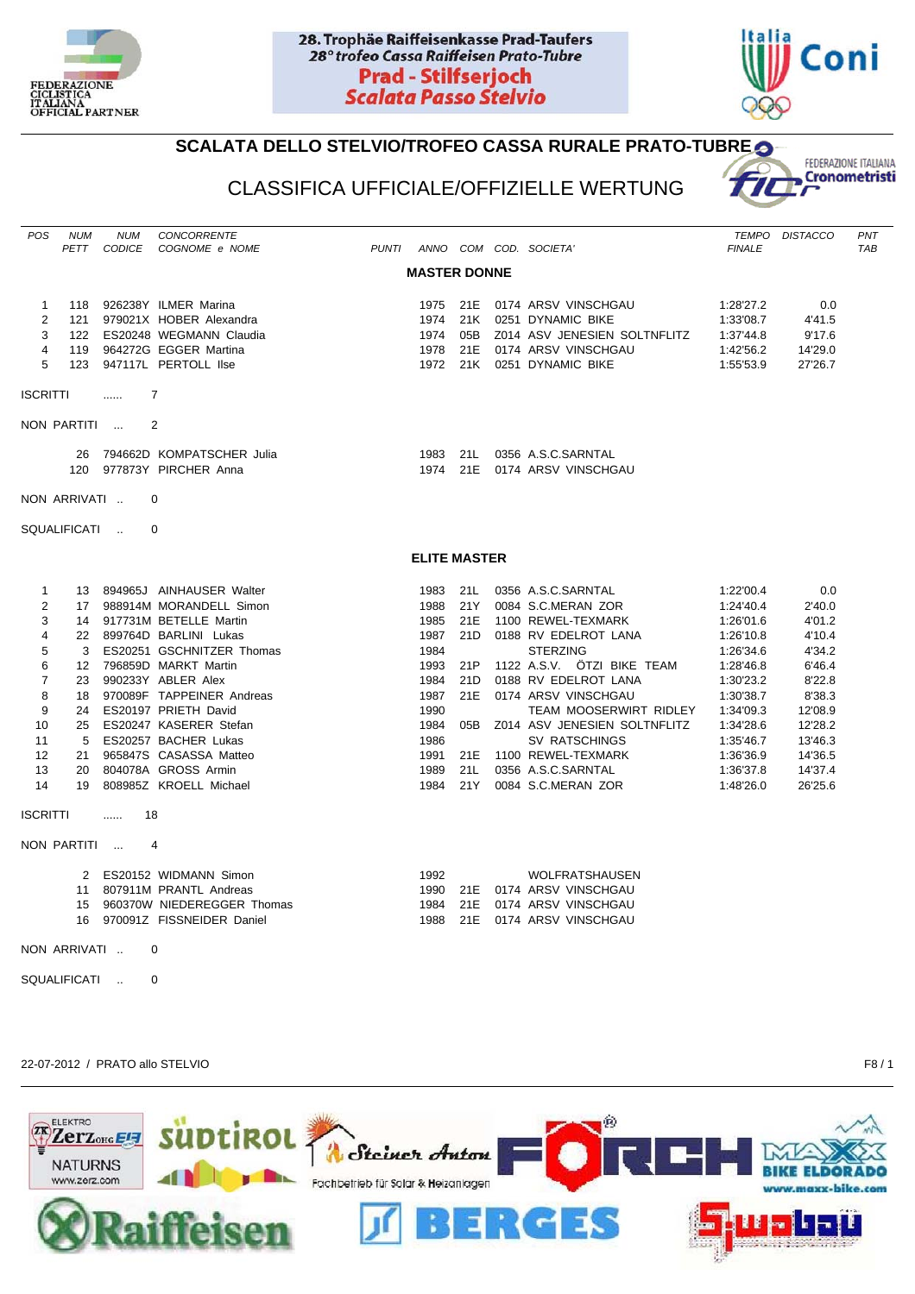



## **SCALATA DELLO STELVIO/TROFEO CASSA RURALE PRATO-TUBRE**

## CLASSIFICA UFFICIALE/OFFIZIELLE WERTUNG



| <b>POS</b>               | NUM         | <b>NUM</b>     | <b>CONCORRENTE</b>                                      |       |              |             |  |                                          |                        | TEMPO DISTACCO   | PNT        |
|--------------------------|-------------|----------------|---------------------------------------------------------|-------|--------------|-------------|--|------------------------------------------|------------------------|------------------|------------|
|                          | PETT        | <b>CODICE</b>  | COGNOME e NOME                                          | PUNTI |              |             |  | ANNO COM COD. SOCIETA'                   | <b>FINALE</b>          |                  | <b>TAB</b> |
| <b>MASTER DONNE</b>      |             |                |                                                         |       |              |             |  |                                          |                        |                  |            |
| $\mathbf{1}$             |             |                | 118 926238Y ILMER Marina                                |       | 1975 21E     |             |  | 0174 ARSV VINSCHGAU                      | 1:28'27.2              | 0.0              |            |
| 2                        |             |                | 121 979021X HOBER Alexandra                             |       | 1974         | 21K         |  | 0251 DYNAMIC BIKE                        | 1:33'08.7              | 4'41.5           |            |
| 3                        |             |                | 122 ES20248 WEGMANN Claudia                             |       | 1974         | 05B         |  | Z014 ASV JENESIEN SOLTNFLITZ             | 1:37'44.8              | 9'17.6           |            |
| 4                        |             |                | 119 964272G EGGER Martina                               |       | 1978         | 21E         |  | 0174 ARSV VINSCHGAU                      | 1:42'56.2              | 14'29.0          |            |
| 5                        |             |                | 123 947117L PERTOLL IIse                                |       | 1972         | 21K         |  | 0251 DYNAMIC BIKE                        | 1:55'53.9              | 27'26.7          |            |
| <b>ISCRITTI</b>          |             | .              | $\overline{7}$                                          |       |              |             |  |                                          |                        |                  |            |
|                          | NON PARTITI |                |                                                         |       |              |             |  |                                          |                        |                  |            |
|                          |             |                | 2                                                       |       |              |             |  |                                          |                        |                  |            |
|                          |             |                | 26 794662D KOMPATSCHER Julia                            |       | 1983 21L     |             |  | 0356 A.S.C.SARNTAL                       |                        |                  |            |
|                          |             |                | 120 977873Y PIRCHER Anna                                |       |              |             |  | 1974 21E 0174 ARSV VINSCHGAU             |                        |                  |            |
| NON ARRIVATI<br>$\Omega$ |             |                |                                                         |       |              |             |  |                                          |                        |                  |            |
| SQUALIFICATI             |             |                | $\mathbf 0$                                             |       |              |             |  |                                          |                        |                  |            |
| <b>ELITE MASTER</b>      |             |                |                                                         |       |              |             |  |                                          |                        |                  |            |
|                          |             |                |                                                         |       |              |             |  |                                          |                        |                  |            |
| $\mathbf{1}$             |             |                | 13 894965J AINHAUSER Walter                             |       | 1983         | 21 L        |  | 0356 A.S.C.SARNTAL                       | 1:22'00.4              | 0.0              |            |
| 2<br>3                   |             |                | 17 988914M MORANDELL Simon<br>14 917731M BETELLE Martin |       | 1988<br>1985 | 21 Y<br>21E |  | 0084 S.C.MERAN ZOR<br>1100 REWEL-TEXMARK | 1:24'40.4<br>1:26'01.6 | 2'40.0<br>4'01.2 |            |
| $\overline{a}$           |             |                | 22 899764D BARLINI Lukas                                |       | 1987         | 21D         |  | 0188 RV EDELROT LANA                     | 1:26'10.8              | 4'10.4           |            |
| 5                        |             |                | 3 ES20251 GSCHNITZER Thomas                             |       | 1984         |             |  | <b>STERZING</b>                          | 1:26'34.6              | 4'34.2           |            |
| 6                        |             |                | 12 796859D MARKT Martin                                 |       | 1993         | 21P         |  | 1122 A.S.V. ÖTZI BIKE TEAM               | 1:28'46.8              | 6'46.4           |            |
| $\overline{7}$           |             |                | 23 990233Y ABLER Alex                                   |       | 1984         | 21D         |  | 0188 RV EDELROT LANA                     | 1:30'23.2              | 8'22.8           |            |
| 8                        |             |                | 18 970089F TAPPEINER Andreas                            |       | 1987         | 21E         |  | 0174 ARSV VINSCHGAU                      | 1:30'38.7              | 8'38.3           |            |
| 9                        |             |                | 24 ES20197 PRIETH David                                 |       | 1990         |             |  | TEAM MOOSERWIRT RIDLEY                   | 1:34'09.3              | 12'08.9          |            |
| 10                       |             |                | 25 ES20247 KASERER Stefan                               |       | 1984         | 05B         |  | Z014 ASV JENESIEN SOLTNFLITZ             | 1:34'28.6              | 12'28.2          |            |
| 11                       |             |                | 5 ES20257 BACHER Lukas                                  |       | 1986         |             |  | SV RATSCHINGS                            | 1:35'46.7              | 13'46.3          |            |
| 12                       | 21          |                | 965847S CASASSA Matteo                                  |       | 1991         |             |  | 21E 1100 REWEL-TEXMARK                   | 1:36'36.9              | 14'36.5          |            |
| 13                       | 20          |                | 804078A GROSS Armin                                     |       | 1989         | 21L         |  | 0356 A.S.C.SARNTAL                       | 1:36'37.8              | 14'37.4          |            |
| 14                       |             |                | 19 808985Z KROELL Michael                               |       | 1984         | 21Y         |  | 0084 S.C.MERAN ZOR                       | 1:48'26.0              | 26'25.6          |            |
| <b>ISCRITTI</b>          |             | 18<br>$\ldots$ |                                                         |       |              |             |  |                                          |                        |                  |            |
| NON PARTITI              |             |                | 4                                                       |       |              |             |  |                                          |                        |                  |            |
|                          |             |                | 2 ES20152 WIDMANN Simon                                 |       | 1992         |             |  | <b>WOLFRATSHAUSEN</b>                    |                        |                  |            |
|                          |             |                | 11 807911M PRANTL Andreas                               |       | 1990         |             |  | 21E 0174 ARSV VINSCHGAU                  |                        |                  |            |
|                          |             |                | 15 960370W NIEDEREGGER Thomas                           |       | 1984         |             |  | 21E 0174 ARSV VINSCHGAU                  |                        |                  |            |
|                          |             |                | 16 970091Z FISSNEIDER Daniel                            |       | 1988         |             |  | 21E 0174 ARSV VINSCHGAU                  |                        |                  |            |
| NON ARRIVATI             |             |                | $\mathbf 0$                                             |       |              |             |  |                                          |                        |                  |            |
| SQUALIFICATI<br>$\Omega$ |             |                |                                                         |       |              |             |  |                                          |                        |                  |            |
|                          |             |                |                                                         |       |              |             |  |                                          |                        |                  |            |

## 22-07-2012 / PRATO allo STELVIO F8 / 1

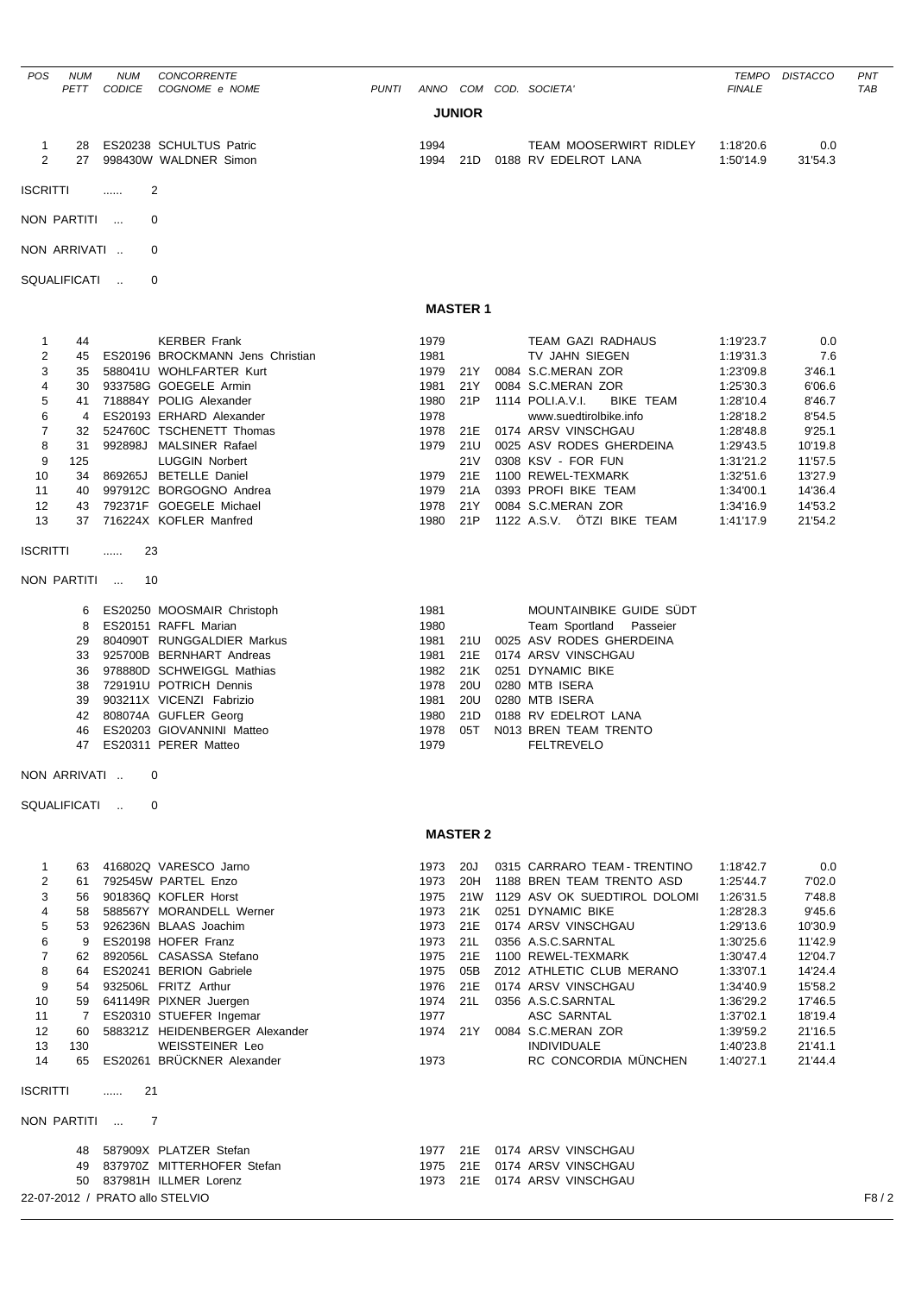| POS                 | <b>NUM</b>   | <b>NUM</b>              | <b>CONCORRENTE</b>                                   |              |              |                 |                                                           |                        | TEMPO DISTACCO     | <b>PNT</b> |
|---------------------|--------------|-------------------------|------------------------------------------------------|--------------|--------------|-----------------|-----------------------------------------------------------|------------------------|--------------------|------------|
|                     | PETT         | <b>CODICE</b>           | COGNOME e NOME                                       | <b>PUNTI</b> |              |                 | ANNO COM COD. SOCIETA'                                    | <b>FINALE</b>          |                    | TAB        |
|                     |              |                         |                                                      |              |              | <b>JUNIOR</b>   |                                                           |                        |                    |            |
|                     |              |                         |                                                      |              |              |                 |                                                           |                        |                    |            |
| $\mathbf{1}$        | 28           |                         | ES20238 SCHULTUS Patric                              |              | 1994         |                 | TEAM MOOSERWIRT RIDLEY                                    | 1:18'20.6              | 0.0                |            |
| 2                   | 27           |                         | 998430W WALDNER Simon                                |              | 1994         | 21D             | 0188 RV EDELROT LANA                                      | 1:50'14.9              | 31'54.3            |            |
| <b>ISCRITTI</b>     |              | .                       | 2                                                    |              |              |                 |                                                           |                        |                    |            |
|                     |              |                         |                                                      |              |              |                 |                                                           |                        |                    |            |
|                     | NON PARTITI  | $\sim$                  | 0                                                    |              |              |                 |                                                           |                        |                    |            |
|                     | NON ARRIVATI |                         | $\Omega$                                             |              |              |                 |                                                           |                        |                    |            |
|                     |              |                         |                                                      |              |              |                 |                                                           |                        |                    |            |
|                     | SQUALIFICATI | $\sim$                  | 0                                                    |              |              |                 |                                                           |                        |                    |            |
|                     |              |                         |                                                      |              |              | <b>MASTER 1</b> |                                                           |                        |                    |            |
| 1                   | 44           |                         | <b>KERBER Frank</b>                                  |              | 1979         |                 | TEAM GAZI RADHAUS                                         | 1:19'23.7              | 0.0                |            |
| $\overline{2}$      | 45           |                         | ES20196 BROCKMANN Jens Christian                     |              | 1981         |                 | TV JAHN SIEGEN                                            | 1:19'31.3              | 7.6                |            |
| 3                   | 35           |                         | 588041U WOHLFARTER Kurt                              |              | 1979         | 21 Y            | 0084 S.C.MERAN ZOR                                        | 1:23'09.8              | 3'46.1             |            |
| 4                   | 30           |                         | 933758G GOEGELE Armin                                |              | 1981         | 21Y             | 0084 S.C.MERAN ZOR                                        | 1:25'30.3              | 6'06.6             |            |
| 5                   | 41           |                         | 718884Y POLIG Alexander                              |              | 1980         | 21P             | 1114 POLI.A.V.I.<br>BIKE TEAM                             | 1:28'10.4              | 8'46.7             |            |
| 6<br>$\overline{7}$ | 4<br>32      |                         | ES20193 ERHARD Alexander<br>524760C TSCHENETT Thomas |              | 1978<br>1978 | 21E             | www.suedtirolbike.info<br>0174 ARSV VINSCHGAU             | 1:28'18.2<br>1:28'48.8 | 8'54.5<br>9'25.1   |            |
| 8                   | 31           |                         | 992898J MALSINER Rafael                              |              | 1979         | 21U             | 0025 ASV RODES GHERDEINA                                  | 1:29'43.5              | 10'19.8            |            |
| 9                   | 125          |                         | <b>LUGGIN Norbert</b>                                |              |              | 21 <sub>V</sub> | 0308 KSV - FOR FUN                                        | 1:31'21.2              | 11'57.5            |            |
| 10                  | 34           |                         | 869265J BETELLE Daniel                               |              | 1979         | 21E             | 1100 REWEL-TEXMARK                                        | 1:32'51.6              | 13'27.9            |            |
| 11                  | 40           |                         | 997912C BORGOGNO Andrea                              |              | 1979         | 21A             | 0393 PROFI BIKE TEAM                                      | 1:34'00.1              | 14'36.4            |            |
| 12                  | 43           |                         | 792371F GOEGELE Michael                              |              | 1978         | 21Y             | 0084 S.C.MERAN ZOR                                        | 1:34'16.9              | 14'53.2            |            |
| 13                  | 37           |                         | 716224X KOFLER Manfred                               |              | 1980         | 21P             | 1122 A.S.V. OTZI BIKE TEAM                                | 1:41'17.9              | 21'54.2            |            |
| <b>ISCRITTI</b>     |              | 23<br>                  |                                                      |              |              |                 |                                                           |                        |                    |            |
|                     | NON PARTITI  | 10<br>$\sim$ 100 $\sim$ |                                                      |              |              |                 |                                                           |                        |                    |            |
|                     | 6            |                         | ES20250 MOOSMAIR Christoph                           |              | 1981         |                 | MOUNTAINBIKE GUIDE SÜDT                                   |                        |                    |            |
|                     | 8            |                         | ES20151 RAFFL Marian                                 |              | 1980         |                 | Team Sportland<br>Passeier                                |                        |                    |            |
|                     | 29           |                         | 804090T RUNGGALDIER Markus                           |              | 1981         | 21U             | 0025 ASV RODES GHERDEINA                                  |                        |                    |            |
|                     | 33           |                         | 925700B BERNHART Andreas                             |              | 1981         | 21E             | 0174 ARSV VINSCHGAU                                       |                        |                    |            |
|                     | 36           |                         | 978880D SCHWEIGGL Mathias                            |              | 1982         | 21K             | 0251 DYNAMIC BIKE                                         |                        |                    |            |
|                     | 38<br>39     |                         | 729191U POTRICH Dennis<br>903211X VICENZI Fabrizio   |              | 1978<br>1981 | 20U<br>20U      | 0280 MTB ISERA<br>0280 MTB ISERA                          |                        |                    |            |
|                     | 42           |                         | 808074A GUFLER Georg                                 |              | 1980         | 21D             | 0188 RV EDELROT LANA                                      |                        |                    |            |
|                     | 46           |                         | ES20203 GIOVANNINI Matteo                            |              | 1978         | 05T             | N013 BREN TEAM TRENTO                                     |                        |                    |            |
|                     | 47           |                         | ES20311 PERER Matteo                                 |              | 1979         |                 | <b>FELTREVELO</b>                                         |                        |                    |            |
|                     | NON ARRIVATI |                         | $\Omega$                                             |              |              |                 |                                                           |                        |                    |            |
|                     | SQUALIFICATI |                         | $\Omega$                                             |              |              |                 |                                                           |                        |                    |            |
|                     |              |                         |                                                      |              |              | <b>MASTER 2</b> |                                                           |                        |                    |            |
|                     |              |                         |                                                      |              |              |                 |                                                           |                        |                    |            |
| 1<br>$\overline{2}$ |              |                         | 63 416802Q VARESCO Jarno<br>61 792545W PARTEL Enzo   |              | 1973<br>1973 | 20J<br>20H      | 0315 CARRARO TEAM - TRENTINO<br>1188 BREN TEAM TRENTO ASD | 1:18'42.7<br>1:25'44.7 | 0.0<br>7'02.0      |            |
| 3                   |              |                         | 56 901836Q KOFLER Horst                              |              | 1975         |                 | 21W 1129 ASV OK SUEDTIROL DOLOMI                          | 1:26'31.5              | 7'48.8             |            |
| 4                   |              |                         | 58 588567Y MORANDELL Werner                          |              | 1973         | 21K             | 0251 DYNAMIC BIKE                                         | 1:28'28.3              | 9'45.6             |            |
| 5                   |              |                         | 53 926236N BLAAS Joachim                             |              | 1973         |                 | 21E 0174 ARSV VINSCHGAU                                   | 1:29'13.6              | 10'30.9            |            |
| 6                   |              |                         | 9 ES20198 HOFER Franz                                |              | 1973         | 21L             | 0356 A.S.C.SARNTAL                                        | 1:30'25.6              | 11'42.9            |            |
| $\overline{7}$      |              |                         | 62 892056L CASASSA Stefano                           |              | 1975         |                 | 21E 1100 REWEL-TEXMARK                                    | 1:30'47.4              | 12'04.7            |            |
| 8                   |              |                         | 64 ES20241 BERION Gabriele                           |              | 1975         | 05B             | Z012 ATHLETIC CLUB MERANO                                 | 1:33'07.1              | 14'24.4            |            |
| 9<br>10             |              |                         | 54 932506L FRITZ Arthur<br>59 641149R PIXNER Juergen |              | 1976<br>1974 | 21E<br>21L      | 0174 ARSV VINSCHGAU<br>0356 A.S.C.SARNTAL                 | 1:34'40.9<br>1:36'29.2 | 15'58.2<br>17'46.5 |            |
| 11                  |              |                         | 7 ES20310 STUEFER Ingemar                            |              | 1977         |                 | ASC SARNTAL                                               | 1:37'02.1              | 18'19.4            |            |
| 12                  |              |                         | 60 588321Z HEIDENBERGER Alexander                    |              | 1974         | 21Y             | 0084 S.C.MERAN ZOR                                        | 1:39'59.2              | 21'16.5            |            |
| 13                  | 130          |                         | <b>WEISSTEINER Leo</b>                               |              |              |                 | <b>INDIVIDUALE</b>                                        | 1:40'23.8              | 21'41.1            |            |
| 14                  |              |                         | 65 ES20261 BRÜCKNER Alexander                        |              | 1973         |                 | RC CONCORDIA MÜNCHEN                                      | 1:40'27.1              | 21'44.4            |            |
| <b>ISCRITTI</b>     |              | 21<br>$\ldots$          |                                                      |              |              |                 |                                                           |                        |                    |            |
|                     | NON PARTITI  |                         | $\overline{7}$                                       |              |              |                 |                                                           |                        |                    |            |
|                     |              |                         | 48 587909X PLATZER Stefan                            |              |              |                 | 1977 21E 0174 ARSV VINSCHGAU                              |                        |                    |            |
|                     |              |                         | 49 837970Z MITTERHOFER Stefan                        |              | 1975         |                 | 21E 0174 ARSV VINSCHGAU                                   |                        |                    |            |
|                     |              |                         | 50 837981H ILLMER Lorenz                             |              | 1973         | 21E             | 0174 ARSV VINSCHGAU                                       |                        |                    |            |
|                     |              |                         | 22-07-2012 / PRATO allo STELVIO                      |              |              |                 |                                                           |                        |                    | F8/2       |
|                     |              |                         |                                                      |              |              |                 |                                                           |                        |                    |            |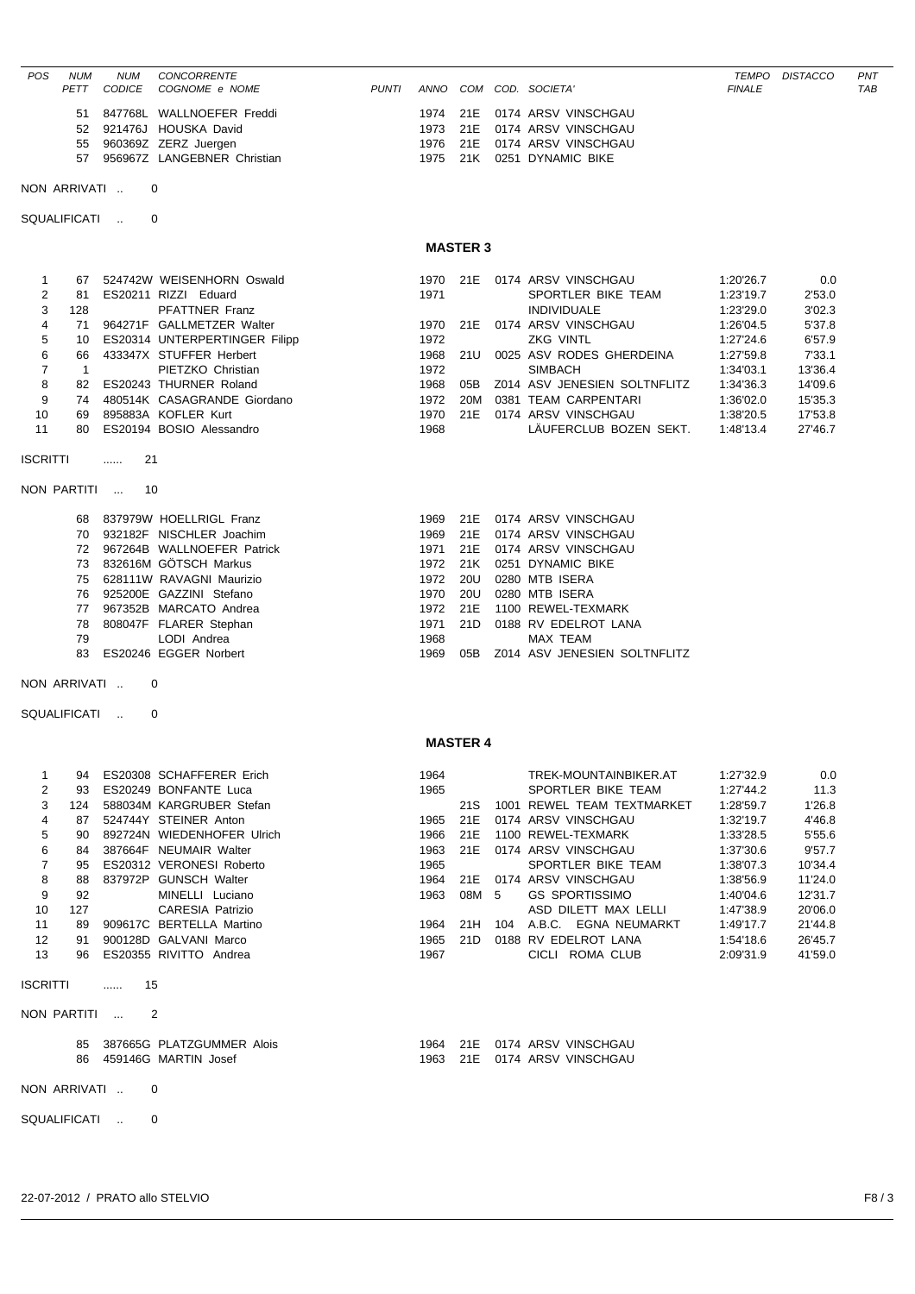| <b>POS</b>      | <b>NUM</b><br>PETT   | <b>NUM</b><br><b>CODICE</b> | CONCORRENTE<br>COGNOME e NOME                          | <b>PUNTI</b> | ANNO         |                 | COM COD. SOCIETA'                                 | <b>TEMPO</b><br><b>FINALE</b> | <b>DISTACCO</b>    | PN <sub>7</sub><br>TAB |
|-----------------|----------------------|-----------------------------|--------------------------------------------------------|--------------|--------------|-----------------|---------------------------------------------------|-------------------------------|--------------------|------------------------|
|                 | 51                   |                             | 847768L WALLNOEFER Freddi                              |              | 1974         | 21E             | 0174 ARSV VINSCHGAU                               |                               |                    |                        |
|                 | 52                   |                             | 921476J HOUSKA David                                   |              | 1973         | 21E             | 0174 ARSV VINSCHGAU                               |                               |                    |                        |
|                 | 55<br>57             |                             | 960369Z ZERZ Juergen<br>956967Z LANGEBNER Christian    |              | 1976<br>1975 | 21E<br>21K      | 0174 ARSV VINSCHGAU<br>0251 DYNAMIC BIKE          |                               |                    |                        |
|                 |                      |                             |                                                        |              |              |                 |                                                   |                               |                    |                        |
|                 | NON ARRIVATI         |                             | 0                                                      |              |              |                 |                                                   |                               |                    |                        |
|                 | SQUALIFICATI         | $\sim$                      | $\Omega$                                               |              |              |                 |                                                   |                               |                    |                        |
|                 |                      |                             |                                                        |              |              | <b>MASTER 3</b> |                                                   |                               |                    |                        |
| 1               | 67                   |                             | 524742W WEISENHORN Oswald                              |              | 1970         | 21E             | 0174 ARSV VINSCHGAU                               | 1:20'26.7                     | 0.0                |                        |
| 2<br>3          | 81<br>128            |                             | ES20211 RIZZI Eduard<br>PFATTNER Franz                 |              | 1971         |                 | SPORTLER BIKE TEAM<br><b>INDIVIDUALE</b>          | 1:23'19.7<br>1:23'29.0        | 2'53.0<br>3'02.3   |                        |
| 4               | 71                   |                             | 964271F GALLMETZER Walter                              |              | 1970         | 21E             | 0174 ARSV VINSCHGAU                               | 1:26'04.5                     | 5'37.8             |                        |
| 5               | 10                   |                             | ES20314 UNTERPERTINGER Filipp                          |              | 1972         |                 | <b>ZKG VINTL</b>                                  | 1:27'24.6                     | 6'57.9             |                        |
| 6<br>7          | 66<br>$\overline{1}$ |                             | 433347X STUFFER Herbert<br>PIETZKO Christian           |              | 1968<br>1972 | 21U             | 0025 ASV RODES GHERDEINA<br><b>SIMBACH</b>        | 1:27'59.8<br>1:34'03.1        | 7'33.1<br>13'36.4  |                        |
| 8               | 82                   |                             | ES20243 THURNER Roland                                 |              | 1968         | 05B             | Z014 ASV JENESIEN SOLTNFLITZ                      | 1:34'36.3                     | 14'09.6            |                        |
| 9               | 74                   |                             | 480514K CASAGRANDE Giordano                            |              | 1972         | 20M             | 0381 TEAM CARPENTARI                              | 1:36'02.0                     | 15'35.3            |                        |
| 10<br>11        | 69<br>80             |                             | 895883A KOFLER Kurt<br>ES20194 BOSIO Alessandro        |              | 1970<br>1968 | 21E             | 0174 ARSV VINSCHGAU<br>LÄUFERCLUB BOZEN SEKT.     | 1:38'20.5<br>1:48'13.4        | 17'53.8<br>27'46.7 |                        |
| <b>ISCRITTI</b> |                      | 21<br>.                     |                                                        |              |              |                 |                                                   |                               |                    |                        |
|                 | NON PARTITI          | 10<br>$\sim$ 100 $\mu$      |                                                        |              |              |                 |                                                   |                               |                    |                        |
|                 | 68                   |                             | 837979W HOELLRIGL Franz                                |              | 1969         | 21E             | 0174 ARSV VINSCHGAU                               |                               |                    |                        |
|                 | 70                   |                             | 932182F NISCHLER Joachim                               |              | 1969         | 21E             | 0174 ARSV VINSCHGAU                               |                               |                    |                        |
|                 |                      |                             | 72 967264B WALLNOEFER Patrick                          |              | 1971         | 21E             | 0174 ARSV VINSCHGAU                               |                               |                    |                        |
|                 | 73<br>75             |                             | 832616M GÖTSCH Markus<br>628111W RAVAGNI Maurizio      |              | 1972<br>1972 | 21K<br>20U      | 0251 DYNAMIC BIKE<br>0280 MTB ISERA               |                               |                    |                        |
|                 | 76                   |                             | 925200E GAZZINI Stefano                                |              | 1970         | 20U             | 0280 MTB ISERA                                    |                               |                    |                        |
|                 | 77<br>78             |                             | 967352B MARCATO Andrea<br>808047F FLARER Stephan       |              | 1972<br>1971 | 21E<br>21D      | 1100 REWEL-TEXMARK<br>0188 RV EDELROT LANA        |                               |                    |                        |
|                 | 79                   |                             | LODI Andrea                                            |              | 1968         |                 | MAX TEAM                                          |                               |                    |                        |
|                 | 83                   |                             | ES20246 EGGER Norbert                                  |              | 1969         | 05B             | Z014 ASV JENESIEN SOLTNFLITZ                      |                               |                    |                        |
|                 | NON ARRIVATI         |                             | 0                                                      |              |              |                 |                                                   |                               |                    |                        |
|                 | <b>SQUALIFICATI</b>  | $\sim$                      | $\Omega$                                               |              |              |                 |                                                   |                               |                    |                        |
|                 |                      |                             |                                                        |              |              | <b>MASTER 4</b> |                                                   |                               |                    |                        |
| 1               | 94                   |                             | ES20308 SCHAFFERER Erich                               |              | 1964         |                 | TREK-MOUNTAINBIKER.AT                             | 1:27'32.9                     | 0.0                |                        |
| 2               | 93                   |                             | ES20249 BONFANTE Luca                                  |              | 1965         |                 | SPORTLER BIKE TEAM                                | 1:27'44.2                     | 11.3               |                        |
| 3<br>4          | 87                   |                             | 124 588034M KARGRUBER Stefan<br>524744Y STEINER Anton  |              | 1965         | 21S<br>21E      | 1001 REWEL TEAM TEXTMARKET<br>0174 ARSV VINSCHGAU | 1:28'59.7<br>1:32'19.7        | 1'26.8<br>4'46.8   |                        |
| 5               | 90                   |                             | 892724N WIEDENHOFER Ulrich                             |              | 1966         | 21E             | 1100 REWEL-TEXMARK                                | 1:33'28.5                     | 5'55.6             |                        |
| 6               |                      |                             | 84 387664F NEUMAIR Walter                              |              | 1963         | 21E             | 0174 ARSV VINSCHGAU                               | 1:37'30.6                     | 9'57.7             |                        |
| 7<br>8          | 95<br>88             |                             | ES20312 VERONESI Roberto<br>837972P GUNSCH Walter      |              | 1965<br>1964 | 21E             | SPORTLER BIKE TEAM<br>0174 ARSV VINSCHGAU         | 1:38'07.3<br>1:38'56.9        | 10'34.4<br>11'24.0 |                        |
| 9               | 92                   |                             | MINELLI Luciano                                        |              | 1963         | 08M 5           | <b>GS SPORTISSIMO</b>                             | 1:40'04.6                     | 12'31.7            |                        |
| 10              | 127                  |                             | <b>CARESIA Patrizio</b><br>89 909617C BERTELLA Martino |              |              | 21H             | ASD DILETT MAX LELLI<br>104 A.B.C. EGNA NEUMARKT  | 1:47'38.9                     | 20'06.0<br>21'44.8 |                        |
| 11<br>12        |                      |                             | 91 900128D GALVANI Marco                               |              | 1964<br>1965 | 21D             | 0188 RV EDELROT LANA                              | 1:49'17.7<br>1:54'18.6        | 26'45.7            |                        |
| 13              |                      |                             | 96 ES20355 RIVITTO Andrea                              |              | 1967         |                 | CICLI ROMA CLUB                                   | 2:09'31.9                     | 41'59.0            |                        |
| <b>ISCRITTI</b> |                      | $\cdots$                    | 15                                                     |              |              |                 |                                                   |                               |                    |                        |
|                 |                      | NON PARTITI                 | $\overline{2}$                                         |              |              |                 |                                                   |                               |                    |                        |
|                 |                      |                             | 85 387665G PLATZGUMMER Alois                           |              | 1964         |                 | 21E 0174 ARSV VINSCHGAU                           |                               |                    |                        |
|                 |                      |                             | 86 459146G MARTIN Josef                                |              | 1963         |                 | 21E 0174 ARSV VINSCHGAU                           |                               |                    |                        |
|                 | NON ARRIVATI         |                             | 0                                                      |              |              |                 |                                                   |                               |                    |                        |
|                 | SQUALIFICATI         |                             | 0                                                      |              |              |                 |                                                   |                               |                    |                        |
|                 |                      |                             |                                                        |              |              |                 |                                                   |                               |                    |                        |